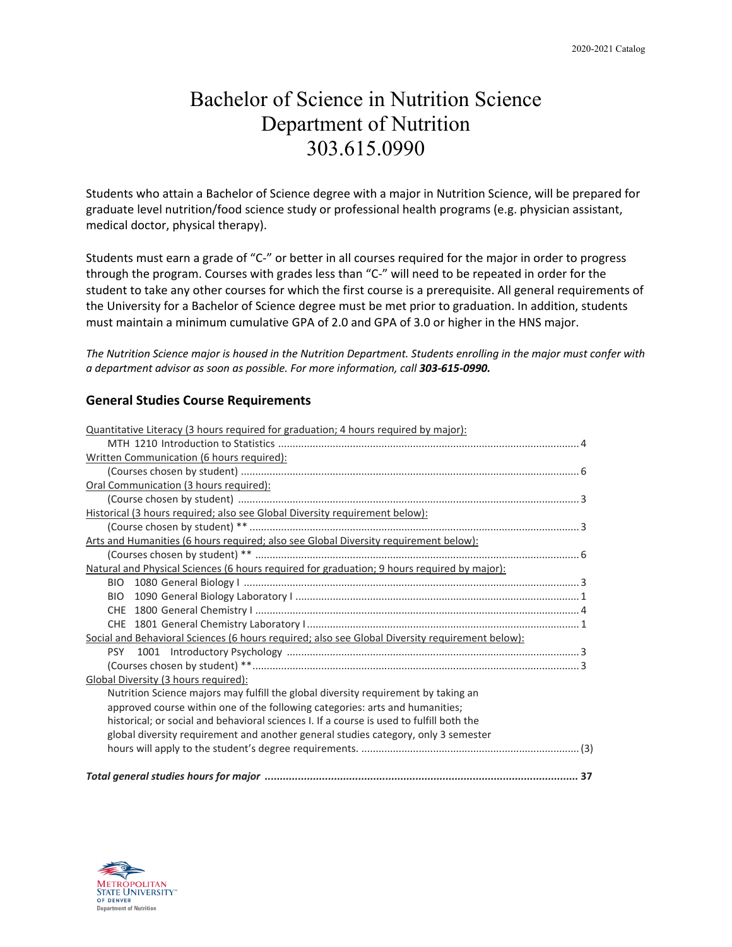## Bachelor of Science in Nutrition Science Department of Nutrition 303.615.0990

Students who attain a Bachelor of Science degree with a major in Nutrition Science, will be prepared for graduate level nutrition/food science study or professional health programs (e.g. physician assistant, medical doctor, physical therapy).

Students must earn a grade of "C-" or better in all courses required for the major in order to progress through the program. Courses with grades less than "C-" will need to be repeated in order for the student to take any other courses for which the first course is a prerequisite. All general requirements of the University for a Bachelor of Science degree must be met prior to graduation. In addition, students must maintain a minimum cumulative GPA of 2.0 and GPA of 3.0 or higher in the HNS major.

*The Nutrition Science major is housed in the Nutrition Department. Students enrolling in the major must confer with a department advisor as soon as possible. For more information, call 303-615-0990.*

### **General Studies Course Requirements**

| Quantitative Literacy (3 hours required for graduation; 4 hours required by major):             |
|-------------------------------------------------------------------------------------------------|
|                                                                                                 |
| Written Communication (6 hours required):                                                       |
|                                                                                                 |
| Oral Communication (3 hours required):                                                          |
|                                                                                                 |
| Historical (3 hours required; also see Global Diversity requirement below):                     |
|                                                                                                 |
| Arts and Humanities (6 hours required; also see Global Diversity requirement below):            |
|                                                                                                 |
| Natural and Physical Sciences (6 hours required for graduation; 9 hours required by major):     |
|                                                                                                 |
| <b>BIO</b>                                                                                      |
|                                                                                                 |
|                                                                                                 |
| Social and Behavioral Sciences (6 hours required; also see Global Diversity requirement below): |
|                                                                                                 |
|                                                                                                 |
| Global Diversity (3 hours required):                                                            |
| Nutrition Science majors may fulfill the global diversity requirement by taking an              |
| approved course within one of the following categories: arts and humanities;                    |
| historical; or social and behavioral sciences I. If a course is used to fulfill both the        |
| global diversity requirement and another general studies category, only 3 semester              |
|                                                                                                 |
|                                                                                                 |

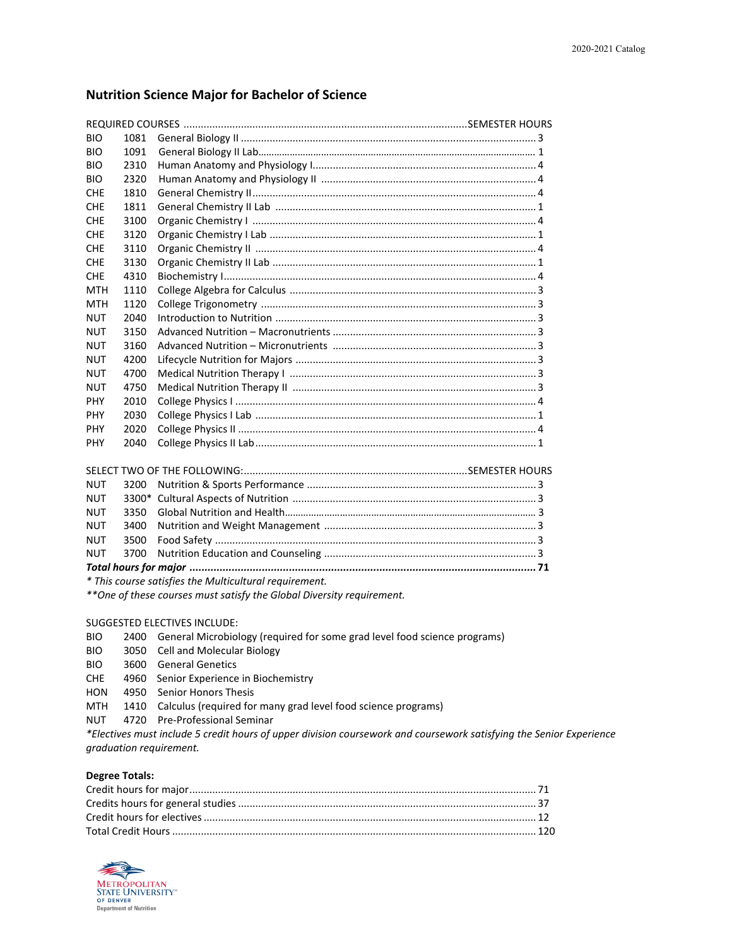#### **Nutrition Science Major for Bachelor of Science**

| <b>BIO</b> | 1081 |  |
|------------|------|--|
| <b>BIO</b> | 1091 |  |
| <b>BIO</b> | 2310 |  |
| <b>BIO</b> | 2320 |  |
| <b>CHE</b> | 1810 |  |
| <b>CHE</b> | 1811 |  |
| <b>CHE</b> | 3100 |  |
| <b>CHE</b> | 3120 |  |
| <b>CHE</b> | 3110 |  |
| <b>CHF</b> | 3130 |  |
| <b>CHE</b> | 4310 |  |
| <b>MTH</b> | 1110 |  |
| MTH        | 1120 |  |
| <b>NUT</b> | 2040 |  |
| <b>NUT</b> | 3150 |  |
| <b>NUT</b> | 3160 |  |
| <b>NUT</b> | 4200 |  |
| <b>NUT</b> | 4700 |  |
| <b>NUT</b> | 4750 |  |
| <b>PHY</b> | 2010 |  |
| <b>PHY</b> | 2030 |  |
| <b>PHY</b> | 2020 |  |
| <b>PHY</b> | 2040 |  |

| <b>NUT</b>                                                                                                       |  |
|------------------------------------------------------------------------------------------------------------------|--|
| <b>NUT</b>                                                                                                       |  |
| <b>NUT</b>                                                                                                       |  |
|                                                                                                                  |  |
|                                                                                                                  |  |
|                                                                                                                  |  |
| 1000 March 2010 March 2010 March 2010 March 2010 March 2010 March 2010 March 2010 March 2010 March 2010 March 20 |  |

*\* This course satisfies the Multicultural requirement.*

*\*\*One of these courses must satisfy the Global Diversity requirement.*

#### SUGGESTED ELECTIVES INCLUDE:

- BIO 2400 General Microbiology (required for some grad level food science programs)
- BIO 3050 Cell and Molecular Biology
- BIO 3600 General Genetics
- CHE 4960 Senior Experience in Biochemistry
- HON 4950 Senior Honors Thesis
- MTH 1410 Calculus (required for many grad level food science programs)
- NUT 4720 Pre-Professional Seminar

*\*Electives must include 5 credit hours of upper division coursework and coursework satisfying the Senior Experience graduation requirement.* 

#### **Degree Totals:**

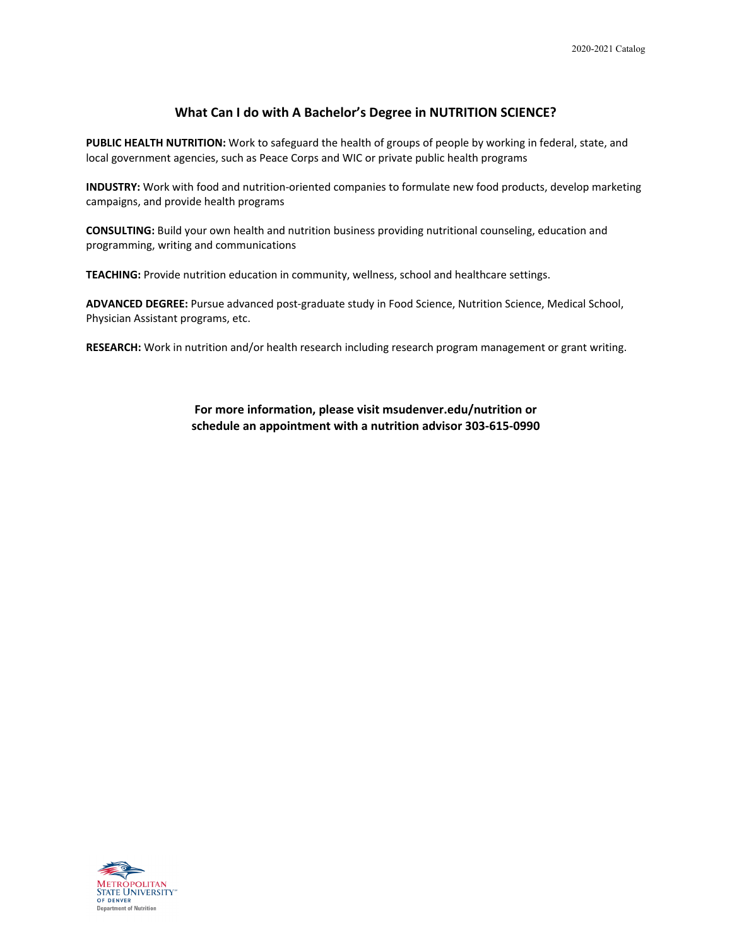#### **What Can I do with A Bachelor's Degree in NUTRITION SCIENCE?**

**PUBLIC HEALTH NUTRITION:** Work to safeguard the health of groups of people by working in federal, state, and local government agencies, such as Peace Corps and WIC or private public health programs

**INDUSTRY:** Work with food and nutrition-oriented companies to formulate new food products, develop marketing campaigns, and provide health programs

**CONSULTING:** Build your own health and nutrition business providing nutritional counseling, education and programming, writing and communications

**TEACHING:** Provide nutrition education in community, wellness, school and healthcare settings.

**ADVANCED DEGREE:** Pursue advanced post-graduate study in Food Science, Nutrition Science, Medical School, Physician Assistant programs, etc.

**RESEARCH:** Work in nutrition and/or health research including research program management or grant writing.

**For more information, please visit msudenver.edu/nutrition or schedule an appointment with a nutrition advisor 303-615-0990**